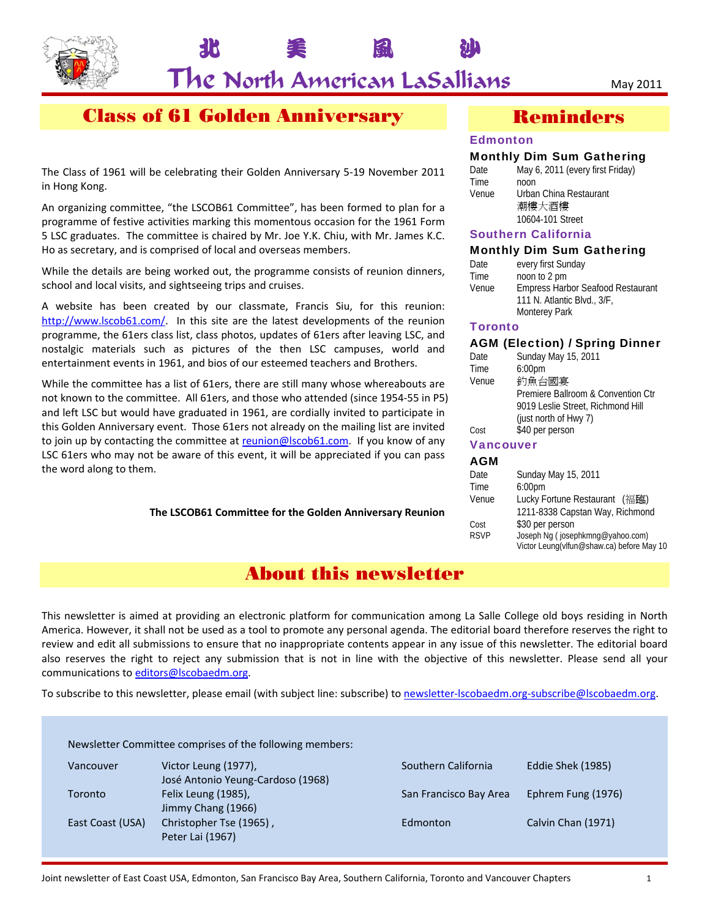

# The North American LaSallians May 2011

北 美 風 沙

## Class of 61 Golden Anniversary

The Class of 1961 will be celebrating their Golden Anniversary 5‐19 November 2011 in Hong Kong.

An organizing committee, "the LSCOB61 Committee", has been formed to plan for a programme of festive activities marking this momentous occasion for the 1961 Form 5 LSC graduates. The committee is chaired by Mr. Joe Y.K. Chiu, with Mr. James K.C. Ho as secretary, and is comprised of local and overseas members.

While the details are being worked out, the programme consists of reunion dinners, school and local visits, and sightseeing trips and cruises.

A website has been created by our classmate, Francis Siu, for this reunion: http://www.lscob61.com/. In this site are the latest developments of the reunion programme, the 61ers class list, class photos, updates of 61ers after leaving LSC, and nostalgic materials such as pictures of the then LSC campuses, world and entertainment events in 1961, and bios of our esteemed teachers and Brothers.

While the committee has a list of 61ers, there are still many whose whereabouts are not known to the committee. All 61ers, and those who attended (since 1954‐55 in P5) and left LSC but would have graduated in 1961, are cordially invited to participate in this Golden Anniversary event. Those 61ers not already on the mailing list are invited to join up by contacting the committee at reunion@lscob61.com. If you know of any LSC 61ers who may not be aware of this event, it will be appreciated if you can pass the word along to them.

**The LSCOB61 Committee for the Golden Anniversary Reunion**

## Reminders

#### **Edmonton**

#### Monthly Dim Sum Gathering

| Date  | May 6, 2011 (every first Friday) |
|-------|----------------------------------|
| Time  | noon                             |
| Venue | Urban China Restaurant           |
|       | 潮樓大酒樓                            |
|       | 10604-101 Street                 |
|       |                                  |

#### Southern California

#### Monthly Dim Sum Gathering

| Date  | every first Sunday                       |
|-------|------------------------------------------|
| Time  | noon to 2 pm                             |
| Venue | <b>Empress Harbor Seafood Restaurant</b> |
|       | 111 N. Atlantic Blvd., 3/F,              |
|       | <b>Monterey Park</b>                     |
|       |                                          |

#### **Toronto**

#### AGM (Election) / Spring Dinner

| Date  | Sunday May 15, 2011                |
|-------|------------------------------------|
| Time  | 6:00 <sub>pm</sub>                 |
| Venue | 釣魚台國宴                              |
|       | Premiere Ballroom & Convention Ctr |
|       | 9019 Leslie Street, Richmond Hill  |
|       | (just north of Hwy 7)              |
| Cost  | \$40 per person                    |
|       | <b>Vancouver</b>                   |

#### **AGM**

| Date        | Sunday May 15, 2011                       |  |
|-------------|-------------------------------------------|--|
| Time        | 6:00 <sub>pm</sub>                        |  |
| Venue       | Lucky Fortune Restaurant (福臨)             |  |
|             | 1211-8338 Capstan Way, Richmond           |  |
| Cost        | \$30 per person                           |  |
| <b>RSVP</b> | Joseph Ng (josephkmng@yahoo.com)          |  |
|             | Victor Leung(vlfun@shaw.ca) before May 10 |  |
|             |                                           |  |

## About this newsletter

This newsletter is aimed at providing an electronic platform for communication among La Salle College old boys residing in North America. However, it shall not be used as a tool to promote any personal agenda. The editorial board therefore reserves the right to review and edit all submissions to ensure that no inappropriate contents appear in any issue of this newsletter. The editorial board also reserves the right to reject any submission that is not in line with the objective of this newsletter. Please send all your communications to editors@lscobaedm.org.

To subscribe to this newsletter, please email (with subject line: subscribe) to newsletter‐lscobaedm.org‐subscribe@lscobaedm.org.

Newsletter Committee comprises of the following members:

| Vancouver        | Victor Leung (1977),              |
|------------------|-----------------------------------|
|                  | José Antonio Yeung-Cardoso (1968) |
| Toronto          | Felix Leung (1985),               |
|                  | Jimmy Chang (1966)                |
| East Coast (USA) | Christopher Tse (1965),           |
|                  | Peter Lai (1967)                  |

Southern California Eddie Shek (1985) San Francisco Bay Area Ephrem Fung (1976) Edmonton Calvin Chan (1971)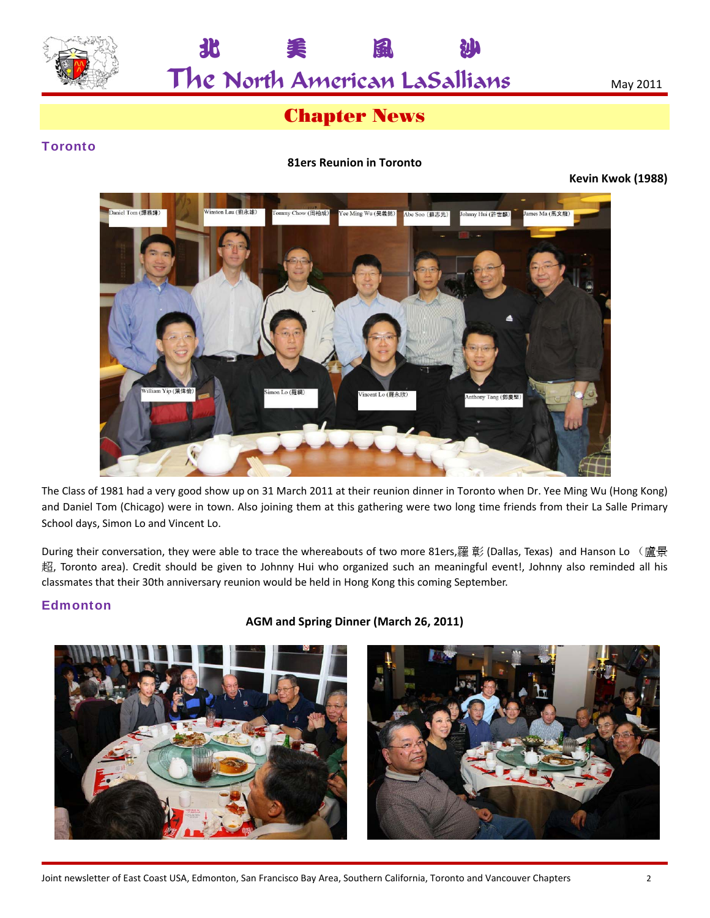

The North American LaSallians May 2011

北 美 風 沙

## Chapter News

## **Toronto**

#### **81ers Reunion in Toronto**

**Kevin Kwok (1988)**



The Class of 1981 had a very good show up on 31 March 2011 at their reunion dinner in Toronto when Dr. Yee Ming Wu (Hong Kong) and Daniel Tom (Chicago) were in town. Also joining them at this gathering were two long time friends from their La Salle Primary School days, Simon Lo and Vincent Lo.

During their conversation, they were able to trace the whereabouts of two more 81ers,羅彰 (Dallas, Texas) and Hanson Lo (盧景 超, Toronto area). Credit should be given to Johnny Hui who organized such an meaningful event!, Johnny also reminded all his classmates that their 30th anniversary reunion would be held in Hong Kong this coming September.

#### Edmonton

**AGM and Spring Dinner (March 26, 2011)**

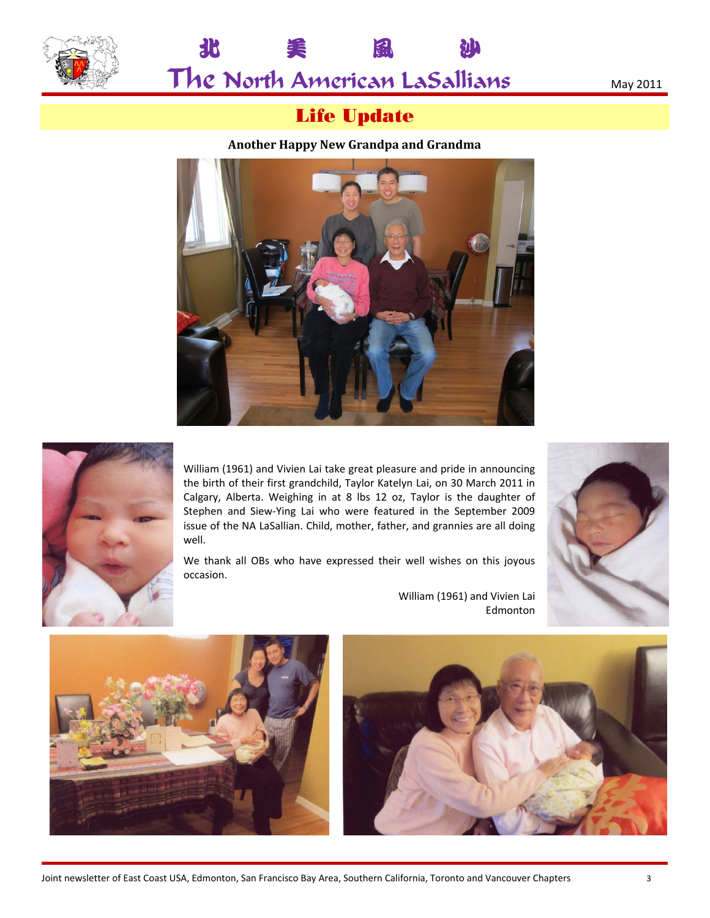



# Life Update

北 美 風 沙

#### **Another Happy New Grandpa and Grandma**





William (1961) and Vivien Lai take great pleasure and pride in announcing the birth of their first grandchild, Taylor Katelyn Lai, on 30 March 2011 in Calgary, Alberta. Weighing in at 8 lbs 12 oz, Taylor is the daughter of Stephen and Siew‐Ying Lai who were featured in the September 2009 issue of the NA LaSallian. Child, mother, father, and grannies are all doing well.

We thank all OBs who have expressed their well wishes on this joyous occasion.







Edmonton

William (1961) and Vivien Lai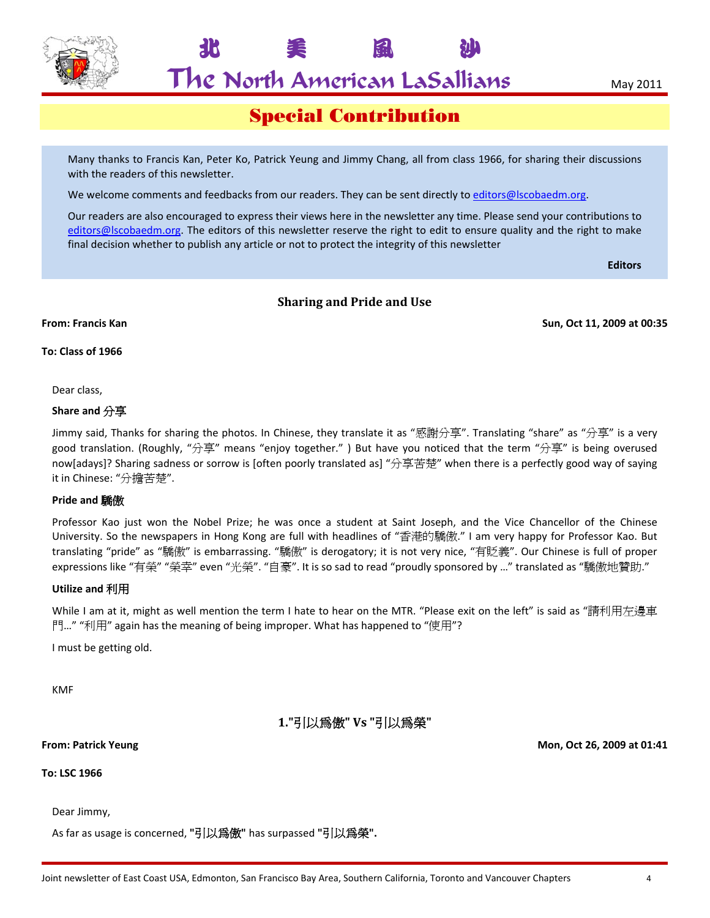

 $\mathsf{The}$  North American LaSallians  $\blacksquare$   $\blacksquare$   $\blacksquare$   $\blacksquare$   $\blacksquare$   $\blacksquare$   $\blacksquare$   $\blacksquare$   $\blacksquare$   $\blacksquare$   $\blacksquare$   $\blacksquare$   $\blacksquare$   $\blacksquare$   $\blacksquare$   $\blacksquare$   $\blacksquare$   $\blacksquare$   $\blacksquare$   $\blacksquare$   $\blacksquare$   $\blacksquare$   $\blacksquare$   $\blacksquare$   $\blacksquare$   $\blacksquare$   $\blacks$ 

北 美 風 沙

## Special Contribution

Many thanks to Francis Kan, Peter Ko, Patrick Yeung and Jimmy Chang, all from class 1966, for sharing their discussions with the readers of this newsletter.

We welcome comments and feedbacks from our readers. They can be sent directly to editors@lscobaedm.org.

Our readers are also encouraged to express their views here in the newsletter any time. Please send your contributions to editors@lscobaedm.org. The editors of this newsletter reserve the right to edit to ensure quality and the right to make final decision whether to publish any article or not to protect the integrity of this newsletter

**Editors**

#### **Sharing and Pride and Use**

**From: Francis Kan Sun, Oct 11, 2009 at 00:35**

**To: Class of 1966**

Dear class,

#### **Share and** 分享

Jimmy said, Thanks for sharing the photos. In Chinese, they translate it as "感謝分享". Translating "share" as "分享" is a very good translation. (Roughly, "分享" means "enjoy together.") But have you noticed that the term "分享" is being overused now[adays]? Sharing sadness or sorrow is [often poorly translated as] "分享苦楚" when there is a perfectly good way of saying it in Chinese: "分擔苦楚".

#### **Pride and** 驕傲

Professor Kao just won the Nobel Prize; he was once a student at Saint Joseph, and the Vice Chancellor of the Chinese University. So the newspapers in Hong Kong are full with headlines of "香港的驕傲." I am very happy for Professor Kao. But translating "pride" as "驕傲" is embarrassing. "驕傲" is derogatory; it is not very nice, "有貶義". Our Chinese is full of proper expressions like "有榮" "榮幸" even "光榮". "自豪". It is so sad to read "proudly sponsored by …" translated as "驕傲地贊助."

#### **Utilize and** 利用

While I am at it, might as well mention the term I hate to hear on the MTR. "Please exit on the left" is said as "請利用左邊車 門…" "利用" again has the meaning of being improper. What has happened to "使用"?

I must be getting old.

KMF

**1."**引以為傲**" Vs "**引以為榮**"**

#### **From: Patrick Yeung Mon, Oct 26, 2009 at 01:41**

**To: LSC 1966**

Dear Jimmy,

As far as usage is concerned, **"**引以為傲**"** has surpassed **"**引以為榮**".**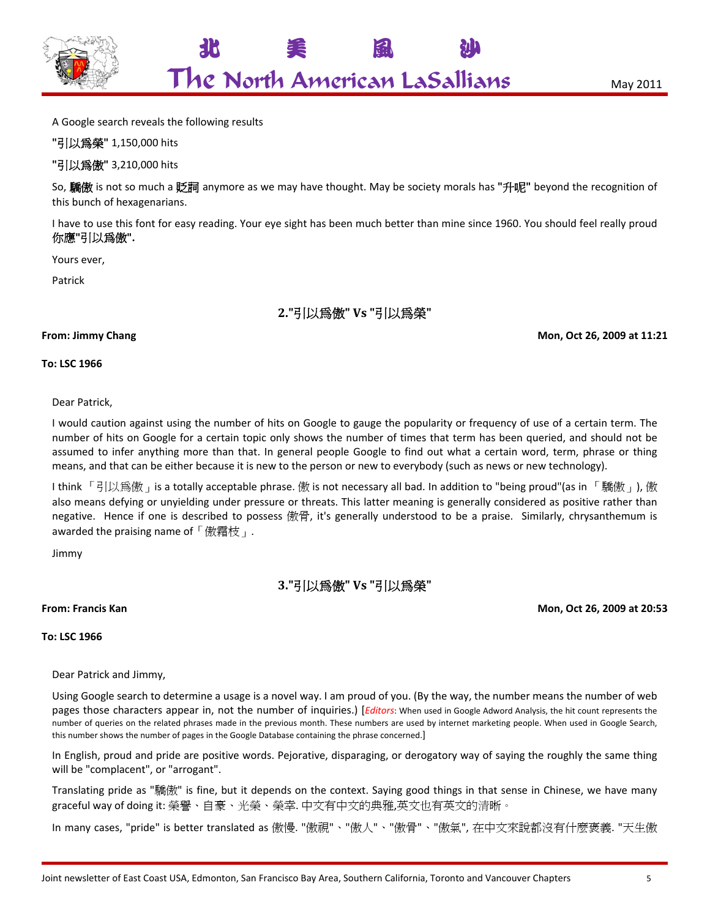

A Google search reveals the following results

**"**引以為榮**"** 1,150,000 hits

**"**引以為傲**"** 3,210,000 hits

So, 驕傲 is not so much a 貶詞 anymore as we may have thought. May be society morals has **"**升呢**"** beyond the recognition of this bunch of hexagenarians.

I have to use this font for easy reading. Your eye sight has been much better than mine since 1960. You should feel really proud 你應**"**引以為傲**".**

Yours ever,

Patrick

## **2."**引以為傲**" Vs "**引以為榮**"**

#### **From: Jimmy Chang Mon, Oct 26, 2009 at 11:21**

**To: LSC 1966**

#### Dear Patrick,

I would caution against using the number of hits on Google to gauge the popularity or frequency of use of a certain term. The number of hits on Google for a certain topic only shows the number of times that term has been queried, and should not be assumed to infer anything more than that. In general people Google to find out what a certain word, term, phrase or thing means, and that can be either because it is new to the person or new to everybody (such as news or new technology).

I think 「引以爲傲」is a totally acceptable phrase. 傲 is not necessary all bad. In addition to "being proud"(as in 「驕傲」), 傲 also means defying or unyielding under pressure or threats. This latter meaning is generally considered as positive rather than negative. Hence if one is described to possess 傲骨, it's generally understood to be a praise. Similarly, chrysanthemum is awarded the praising name of  $\lceil$  傲霜枝  $\rceil$ .

Jimmy

## **3."**引以為傲**" Vs "**引以為榮**"**

**From: Francis Kan Mon, Oct 26, 2009 at 20:53**

**To: LSC 1966**

Dear Patrick and Jimmy,

Using Google search to determine a usage is a novel way. I am proud of you. (By the way, the number means the number of web pages those characters appear in, not the number of inquiries.) [*Editors*: When used in Google Adword Analysis, the hit count represents the number of queries on the related phrases made in the previous month. These numbers are used by internet marketing people. When used in Google Search, this number shows the number of pages in the Google Database containing the phrase concerned.]

In English, proud and pride are positive words. Pejorative, disparaging, or derogatory way of saying the roughly the same thing will be "complacent", or "arrogant".

Translating pride as "驕傲" is fine, but it depends on the context. Saying good things in that sense in Chinese, we have many graceful way of doing it: 榮譽、自豪、光榮、榮幸. 中文有中文的典雅,英文也有英文的清晰。

In many cases, "pride" is better translated as 傲慢. "傲視"、"傲人"、"傲骨"、"傲氣", 在中文來說都沒有什麼褒義. "天生傲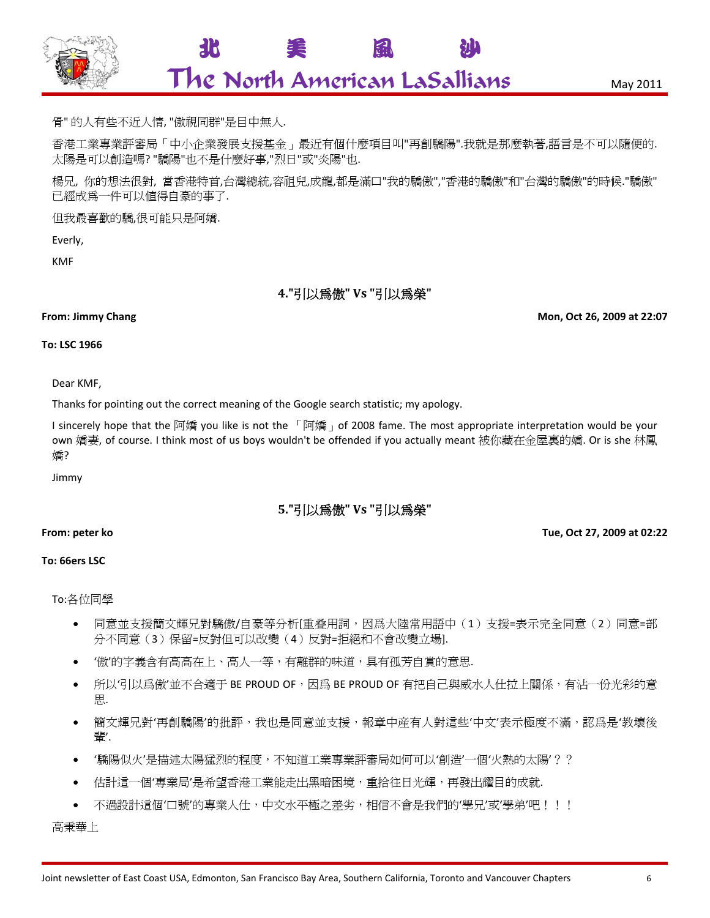

北 美 風 沙

骨" 的人有些不近人情, "傲視同群"是目中無人.

香港工業專業評審局「中小企業發展支援基金」最近有個什麼項目叫"再創驕陽".我就是那麼執著,語言是不可以隨便的. 太陽是可以創造嗎? "驕陽"也不是什麼好事,"烈日"或"炎陽"也.

楊兄, 你的想法很對, 當香港特首,台灣總統,容祖兒,成龍,都是滿口"我的驕傲","香港的驕傲"和"台灣的驕傲"的時候."驕傲" 已經成為一件可以值得自豪的事了.

但我最喜歡的驕,很可能只是阿嬌.

Everly,

KMF

**4."**引以為傲**" Vs "**引以為榮**"**

**From: Jimmy Chang Mon, Oct 26, 2009 at 22:07**

#### **To: LSC 1966**

Dear KMF,

Thanks for pointing out the correct meaning of the Google search statistic; my apology.

I sincerely hope that the 阿嬌 you like is not the 「阿嬌」of 2008 fame. The most appropriate interpretation would be your own 嬌妻, of course. I think most of us boys wouldn't be offended if you actually meant 被你藏在金屋裏的嬌. Or is she 林鳳 嬌?

Jimmy

#### **5."**引以為傲**" Vs "**引以為榮**"**

#### **From: peter ko Tue, Oct 27, 2009 at 02:22**

**To: 66ers LSC**

To:各位同學

- 同意並支援簡文輝兄對驕傲/自豪等分析[重叠用詞,因爲大陸常用語中(1)支援=表示完全同意(2)同意=部 分不同意(3)保留=反對但可以改變(4)反對=拒絕和不會改變立場].
- '傲'的字義含有高高在上、高人一等,有離群的味道,具有孤芳自賞的意思.
- 所以'引以爲傲'並不合適于 BE PROUD OF,因爲 BE PROUD OF 有把自己與威水人仕拉上關係,有沾一份光彩的意 思.
- 簡文輝兄對'再創驕陽'的批評,我也是同意並支援,報章中産有人對這些'中文'表示極度不滿,認爲是'教壞後 輩'.
- '驕陽似火'是描述太陽猛烈的程度,不知道工業專業評審局如何可以'創造'一個'火熱的太陽'??
- 估計這一個'專業局'是希望香港工業能走出黑暗困境,重拾往日光輝,再發出耀目的成就.
- 不過設計這個'口號'的專業人仕,中文水平極之差劣,相信不會是我們的'學兄'或'學弟'吧!!!

高秉華上